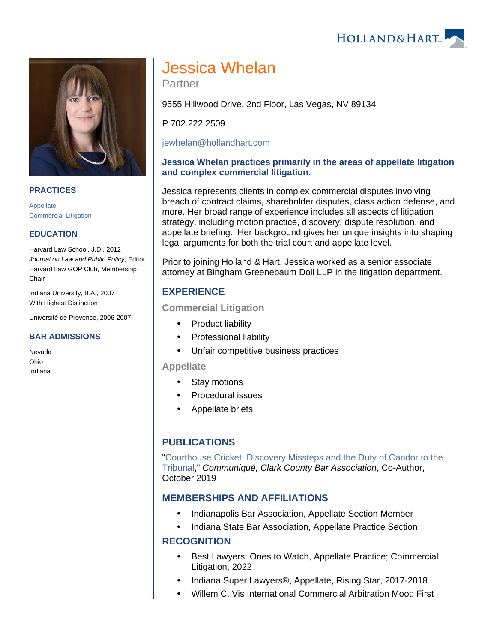HOLLAND& HART



#### **PRACTICES**

[Appellate](https://www.hollandhart.com/19686) [Commercial Litigation](https://www.hollandhart.com/19684)

## **EDUCATION**

Harvard Law School, J.D., 2012 Journal on Law and Public Policy, Editor Harvard Law GOP Club, Membership **Chair** 

Indiana University, B.A., 2007 With Highest Distinction

Université de Provence, 2006-2007

#### **BAR ADMISSIONS**

Nevada Ohio Indiana

# Jessica Whelan

Partner

9555 Hillwood Drive, 2nd Floor, Las Vegas, NV 89134

P 702.222.2509

[jewhelan@hollandhart.com](mailto:jewhelan@hollandhart.com)

## **Jessica Whelan practices primarily in the areas of appellate litigation and complex commercial litigation.**

Jessica represents clients in complex commercial disputes involving breach of contract claims, shareholder disputes, class action defense, and more. Her broad range of experience includes all aspects of litigation strategy, including motion practice, discovery, dispute resolution, and appellate briefing. Her background gives her unique insights into shaping legal arguments for both the trial court and appellate level.

Prior to joining Holland & Hart, Jessica worked as a senior associate attorney at Bingham Greenebaum Doll LLP in the litigation department.

# **EXPERIENCE**

#### **Commercial Litigation**

- Product liability
- Professional liability
- Unfair competitive business practices

**Appellate**

- Stay motions
- Procedural issues
- Appellate briefs

## **PUBLICATIONS**

"[Courthouse Cricket: Discovery Missteps and the Duty of Candor to the](https://www.hollandhart.com/36619)  [Tribunal,](https://www.hollandhart.com/36619)" Communiqué, Clark County Bar Association, Co-Author, October 2019

## **MEMBERSHIPS AND AFFILIATIONS**

- Indianapolis Bar Association, Appellate Section Member
- Indiana State Bar Association, Appellate Practice Section

## **RECOGNITION**

- Best Lawyers: Ones to Watch, Appellate Practice; Commercial Litigation, 2022
- Indiana Super Lawyers®, Appellate, Rising Star, 2017-2018
- Willem C. Vis International Commercial Arbitration Moot: First